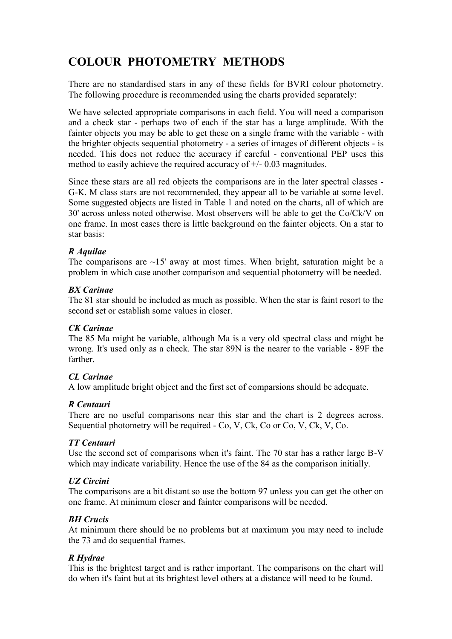# **COLOUR PHOTOMETRY METHODS**

There are no standardised stars in any of these fields for BVRI colour photometry. The following procedure is recommended using the charts provided separately:

We have selected appropriate comparisons in each field. You will need a comparison and a check star - perhaps two of each if the star has a large amplitude. With the fainter objects you may be able to get these on a single frame with the variable - with the brighter objects sequential photometry - a series of images of different objects - is needed. This does not reduce the accuracy if careful - conventional PEP uses this method to easily achieve the required accuracy of +/- 0.03 magnitudes.

Since these stars are all red objects the comparisons are in the later spectral classes - G-K. M class stars are not recommended, they appear all to be variable at some level. Some suggested objects are listed in Table 1 and noted on the charts, all of which are 30' across unless noted otherwise. Most observers will be able to get the Co/Ck/V on one frame. In most cases there is little background on the fainter objects. On a star to star basis:

## *R Aquilae*

The comparisons are  $\sim$ 15' away at most times. When bright, saturation might be a problem in which case another comparison and sequential photometry will be needed.

#### *BX Carinae*

The 81 star should be included as much as possible. When the star is faint resort to the second set or establish some values in closer.

#### *CK Carinae*

The 85 Ma might be variable, although Ma is a very old spectral class and might be wrong. It's used only as a check. The star 89N is the nearer to the variable - 89F the farther.

# *CL Carinae*

A low amplitude bright object and the first set of comparsions should be adequate.

# *R Centauri*

There are no useful comparisons near this star and the chart is 2 degrees across. Sequential photometry will be required - Co, V, Ck, Co or Co, V, Ck, V, Co.

#### *TT Centauri*

Use the second set of comparisons when it's faint. The 70 star has a rather large B-V which may indicate variability. Hence the use of the 84 as the comparison initially.

# *UZ Circini*

The comparisons are a bit distant so use the bottom 97 unless you can get the other on one frame. At minimum closer and fainter comparisons will be needed.

# *BH Crucis*

At minimum there should be no problems but at maximum you may need to include the 73 and do sequential frames.

# *R Hydrae*

This is the brightest target and is rather important. The comparisons on the chart will do when it's faint but at its brightest level others at a distance will need to be found.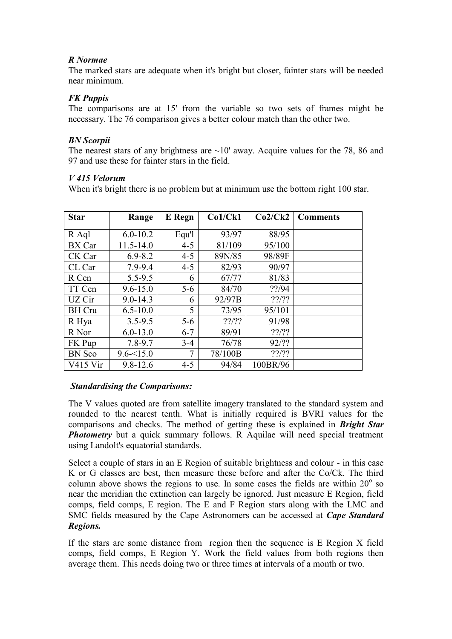## *R Normae*

The marked stars are adequate when it's bright but closer, fainter stars will be needed near minimum.

## *FK Puppis*

The comparisons are at 15' from the variable so two sets of frames might be necessary. The 76 comparison gives a better colour match than the other two.

## *BN Scorpii*

The nearest stars of any brightness are  $\sim 10'$  away. Acquire values for the 78, 86 and 97 and use these for fainter stars in the field.

#### *V 415 Velorum*

When it's bright there is no problem but at minimum use the bottom right 100 star.

| <b>Star</b>   | Range         | <b>E</b> Regn | Co1/Ck1       | Co2/Ck2        | <b>Comments</b> |
|---------------|---------------|---------------|---------------|----------------|-----------------|
| R Aql         | $6.0 - 10.2$  | Equ'l         | 93/97         | 88/95          |                 |
| BX Car        | $11.5 - 14.0$ | $4 - 5$       | 81/109        | 95/100         |                 |
| CK Car        | $6.9 - 8.2$   | $4 - 5$       | 89N/85        | 98/89F         |                 |
| CL Car        | 7.9-9.4       | $4 - 5$       | 82/93         | 90/97          |                 |
| R Cen         | $5.5 - 9.5$   | 6             | 67/77         | 81/83          |                 |
| TT Cen        | $9.6 - 15.0$  | $5-6$         | 84/70         | ??/94          |                 |
| UZ Cir        | $9.0 - 14.3$  | 6             | 92/97B        | $??\frac{???}$ |                 |
| <b>BH</b> Cru | $6.5 - 10.0$  | 5             | 73/95         | 95/101         |                 |
| R Hya         | $3.5 - 9.5$   | $5 - 6$       | $??\frac{??}$ | 91/98          |                 |
| R Nor         | $6.0 - 13.0$  | $6 - 7$       | 89/91         | $??\frac{??}$  |                 |
| FK Pup        | $7.8 - 9.7$   | $3-4$         | 76/78         | 92/??          |                 |
| <b>BN</b> Sco | $9.6 - 15.0$  | 7             | 78/100B       | $??\frac{???}$ |                 |
| $V415$ Vir    | $9.8 - 12.6$  | $4 - 5$       | 94/84         | 100BR/96       |                 |

#### *Standardising the Comparisons:*

The V values quoted are from satellite imagery translated to the standard system and rounded to the nearest tenth. What is initially required is BVRI values for the comparisons and checks. The method of getting these is explained in *Bright Star*  **Photometry** but a quick summary follows. R Aquilae will need special treatment using Landolt's equatorial standards.

Select a couple of stars in an E Region of suitable brightness and colour - in this case K or G classes are best, then measure these before and after the Co/Ck. The third column above shows the regions to use. In some cases the fields are within  $20^{\circ}$  so near the meridian the extinction can largely be ignored. Just measure E Region, field comps, field comps, E region. The E and F Region stars along with the LMC and SMC fields measured by the Cape Astronomers can be accessed at *Cape Standard Regions.*

If the stars are some distance from region then the sequence is E Region X field comps, field comps, E Region Y. Work the field values from both regions then average them. This needs doing two or three times at intervals of a month or two.